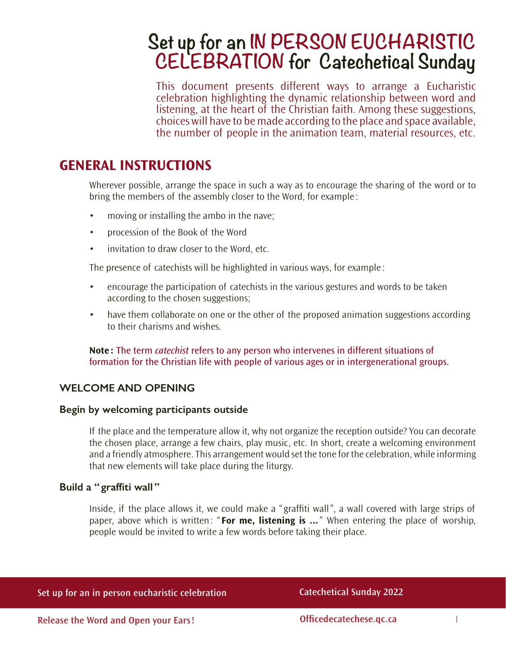# **Set up for an IN PERSON EUCHARISTIC CELEBRATION for Catechetical Sunday**

This document presents different ways to arrange a Eucharistic celebration highlighting the dynamic relationship between word and listening, at the heart of the Christian faith. Among these suggestions, choices will have to be made according to the place and space available, the number of people in the animation team, material resources, etc.

# **GENERAL INSTRUCTIONS**

Wherever possible, arrange the space in such a way as to encourage the sharing of the word or to bring the members of the assembly closer to the Word, for example :

- moving or installing the ambo in the nave;
- • procession of the Book of the Word
- invitation to draw closer to the Word, etc.

The presence of catechists will be highlighted in various ways, for example :

- encourage the participation of catechists in the various gestures and words to be taken according to the chosen suggestions;
- have them collaborate on one or the other of the proposed animation suggestions according to their charisms and wishes.

**Note :** The term *catechist* refers to any person who intervenes in different situations of formation for the Christian life with people of various ages or in intergenerational groups.

# **WELCOME AND OPENING**

#### **Begin by welcoming participants outside**

If the place and the temperature allow it, why not organize the reception outside? You can decorate the chosen place, arrange a few chairs, play music, etc. In short, create a welcoming environment and a friendly atmosphere. This arrangement would set the tone for the celebration, while informing that new elements will take place during the liturgy.

### **Build a " graffiti wall "**

Inside, if the place allows it, we could make a " graffiti wall", a wall covered with large strips of paper, above which is written: " **For me, listening is ...**" When entering the place of worship, people would be invited to write a few words before taking their place.

|  |  |  | Set up for an in person eucharistic celebration |
|--|--|--|-------------------------------------------------|
|  |  |  |                                                 |

**Catechetical Sunday 2022**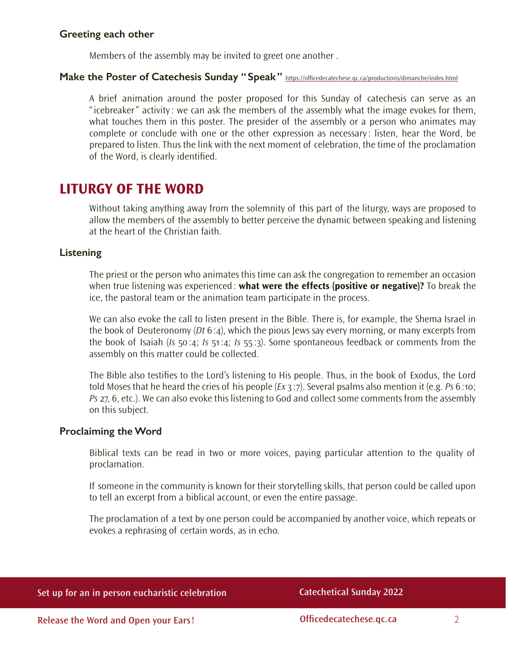#### **Greeting each other**

Members of the assembly may be invited to greet one another .

#### **Make the Poster of Catechesis Sunday "Speak"** <https://officedecatechese.qc.ca/productions/dimanche/index.html>

A brief animation around the poster proposed for this Sunday of catechesis can serve as an "icebreaker" activity: we can ask the members of the assembly what the image evokes for them, what touches them in this poster. The presider of the assembly or a person who animates may complete or conclude with one or the other expression as necessary : listen, hear the Word, be prepared to listen. Thus the link with the next moment of celebration, the time of the proclamation of the Word, is clearly identified.

# **LITURGY OF THE WORD**

Without taking anything away from the solemnity of this part of the liturgy, ways are proposed to allow the members of the assembly to better perceive the dynamic between speaking and listening at the heart of the Christian faith.

#### **Listening**

The priest or the person who animates this time can ask the congregation to remember an occasion when true listening was experienced: **what were the effects (positive or negative)?** To break the ice, the pastoral team or the animation team participate in the process.

We can also evoke the call to listen present in the Bible. There is, for example, the Shema Israel in the book of Deuteronomy (*Dt* 6:4), which the pious Jews say every morning, or many excerpts from the book of Isaiah (*Is* 50:4; *Is* 51:4; *Is* 55 :3). Some spontaneous feedback or comments from the assembly on this matter could be collected.

The Bible also testifies to the Lord's listening to His people. Thus, in the book of Exodus, the Lord told Moses that he heard the cries of his people (*Ex* 3 :7). Several psalms also mention it (e.g. *Ps* 6:10; *Ps* 27, 6, etc.). We can also evoke this listening to God and collect some comments from the assembly on this subject.

#### **Proclaiming the Word**

Biblical texts can be read in two or more voices, paying particular attention to the quality of proclamation.

If someone in the community is known for their storytelling skills, that person could be called upon to tell an excerpt from a biblical account, or even the entire passage.

The proclamation of a text by one person could be accompanied by another voice, which repeats or evokes a rephrasing of certain words, as in echo.

|  | Set up for an in person eucharistic celebration |
|--|-------------------------------------------------|
|--|-------------------------------------------------|

**Catechetical Sunday 2022**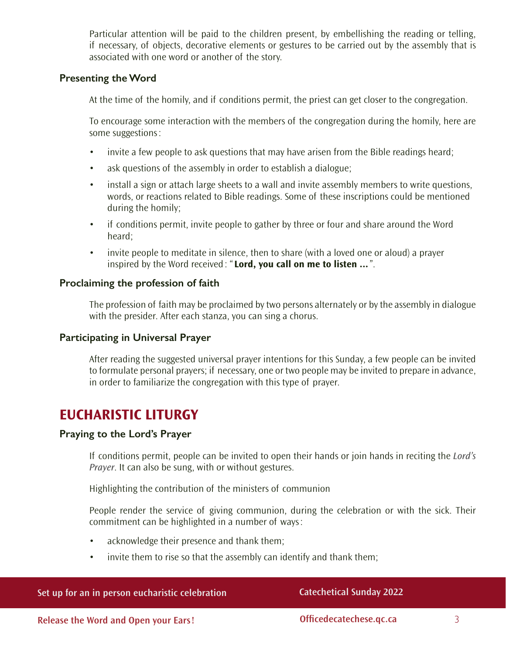Particular attention will be paid to the children present, by embellishing the reading or telling, if necessary, of objects, decorative elements or gestures to be carried out by the assembly that is associated with one word or another of the story.

## **Presenting the Word**

At the time of the homily, and if conditions permit, the priest can get closer to the congregation.

To encourage some interaction with the members of the congregation during the homily, here are some suggestions:

- invite a few people to ask questions that may have arisen from the Bible readings heard;
- ask questions of the assembly in order to establish a dialogue;
- install a sign or attach large sheets to a wall and invite assembly members to write questions, words, or reactions related to Bible readings. Some of these inscriptions could be mentioned during the homily;
- if conditions permit, invite people to gather by three or four and share around the Word heard;
- invite people to meditate in silence, then to share (with a loved one or aloud) a prayer inspired by the Word received: " **Lord, you call on me to listen ...**".

## **Proclaiming the profession of faith**

The profession of faith may be proclaimed by two persons alternately or by the assembly in dialogue with the presider. After each stanza, you can sing a chorus.

### **Participating in Universal Prayer**

After reading the suggested universal prayer intentions for this Sunday, a few people can be invited to formulate personal prayers; if necessary, one or two people may be invited to prepare in advance, in order to familiarize the congregation with this type of prayer.

# **EUCHARISTIC LITURGY**

# **Praying to the Lord's Prayer**

If conditions permit, people can be invited to open their hands or join hands in reciting the *Lord's Prayer*. It can also be sung, with or without gestures.

Highlighting the contribution of the ministers of communion

People render the service of giving communion, during the celebration or with the sick. Their commitment can be highlighted in a number of ways:

- acknowledge their presence and thank them;
- invite them to rise so that the assembly can identify and thank them;

| Set up for an in person eucharistic celebration |  |
|-------------------------------------------------|--|
|-------------------------------------------------|--|

### **Catechetical Sunday 2022**